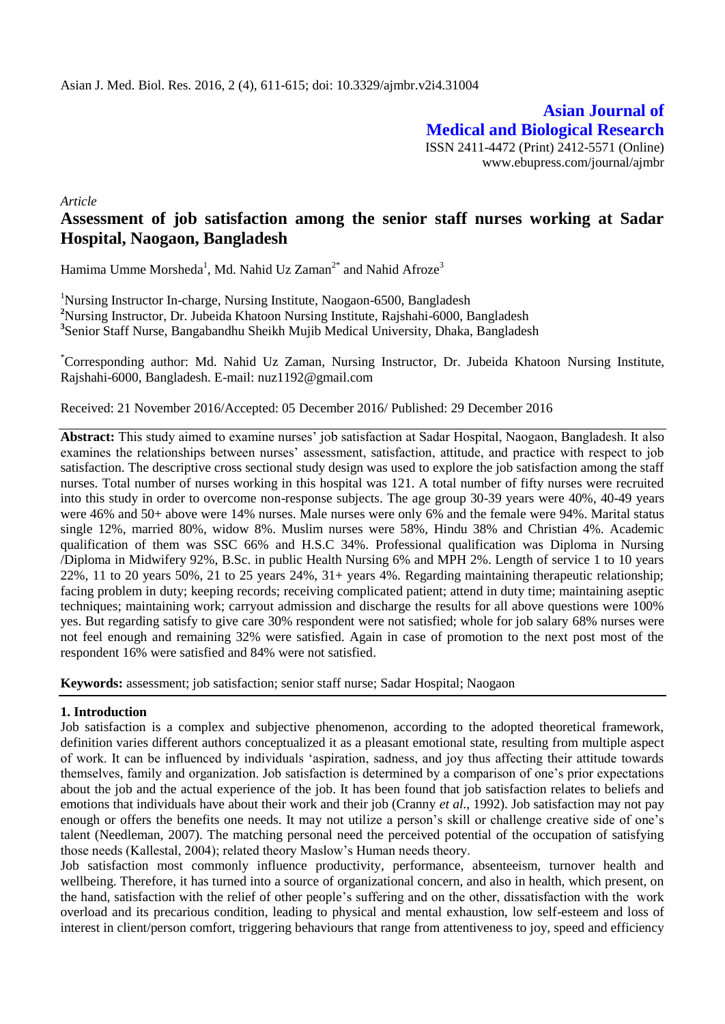**Asian Journal of Medical and Biological Research** ISSN 2411-4472 (Print) 2412-5571 (Online) www.ebupress.com/journal/ajmbr

*Article*

# **Assessment of job satisfaction among the senior staff nurses working at Sadar Hospital, Naogaon, Bangladesh**

Hamima Umme Morsheda<sup>1</sup>, Md. Nahid Uz Zaman<sup>2\*</sup> and Nahid Afroze<sup>3</sup>

<sup>1</sup>Nursing Instructor In-charge, Nursing Institute, Naogaon-6500, Bangladesh **<sup>2</sup>**Nursing Instructor, Dr. Jubeida Khatoon Nursing Institute, Rajshahi-6000, Bangladesh **3** Senior Staff Nurse, Bangabandhu Sheikh Mujib Medical University, Dhaka, Bangladesh

\*Corresponding author: Md. Nahid Uz Zaman, Nursing Instructor, Dr. Jubeida Khatoon Nursing Institute, Rajshahi-6000, Bangladesh. E-mail: nuz1192@gmail.com

Received: 21 November 2016/Accepted: 05 December 2016/ Published: 29 December 2016

**Abstract:** This study aimed to examine nurses" job satisfaction at Sadar Hospital, Naogaon, Bangladesh. It also examines the relationships between nurses' assessment, satisfaction, attitude, and practice with respect to job satisfaction. The descriptive cross sectional study design was used to explore the job satisfaction among the staff nurses. Total number of nurses working in this hospital was 121. A total number of fifty nurses were recruited into this study in order to overcome non-response subjects. The age group 30-39 years were 40%, 40-49 years were 46% and 50+ above were 14% nurses. Male nurses were only 6% and the female were 94%. Marital status single 12%, married 80%, widow 8%. Muslim nurses were 58%, Hindu 38% and Christian 4%. Academic qualification of them was SSC 66% and H.S.C 34%. Professional qualification was Diploma in Nursing /Diploma in Midwifery 92%, B.Sc. in public Health Nursing 6% and MPH 2%. Length of service 1 to 10 years 22%, 11 to 20 years 50%, 21 to 25 years 24%, 31+ years 4%. Regarding maintaining therapeutic relationship; facing problem in duty; keeping records; receiving complicated patient; attend in duty time; maintaining aseptic techniques; maintaining work; carryout admission and discharge the results for all above questions were 100% yes. But regarding satisfy to give care 30% respondent were not satisfied; whole for job salary 68% nurses were not feel enough and remaining 32% were satisfied. Again in case of promotion to the next post most of the respondent 16% were satisfied and 84% were not satisfied.

**Keywords:** assessment; job satisfaction; senior staff nurse; Sadar Hospital; Naogaon

### **1. Introduction**

Job satisfaction is a complex and subjective phenomenon, according to the adopted theoretical framework, definition varies different authors conceptualized it as a pleasant emotional state, resulting from multiple aspect of work. It can be influenced by individuals "aspiration, sadness, and joy thus affecting their attitude towards themselves, family and organization. Job satisfaction is determined by a comparison of one"s prior expectations about the job and the actual experience of the job. It has been found that job satisfaction relates to beliefs and emotions that individuals have about their work and their job (Cranny *et al*., 1992). Job satisfaction may not pay enough or offers the benefits one needs. It may not utilize a person's skill or challenge creative side of one's talent (Needleman, 2007). The matching personal need the perceived potential of the occupation of satisfying those needs (Kallestal, 2004); related theory Maslow"s Human needs theory.

Job satisfaction most commonly influence productivity, performance, absenteeism, turnover health and wellbeing. Therefore, it has turned into a source of organizational concern, and also in health, which present, on the hand, satisfaction with the relief of other people"s suffering and on the other, dissatisfaction with the work overload and its precarious condition, leading to physical and mental exhaustion, low self-esteem and loss of interest in client/person comfort, triggering behaviours that range from attentiveness to joy, speed and efficiency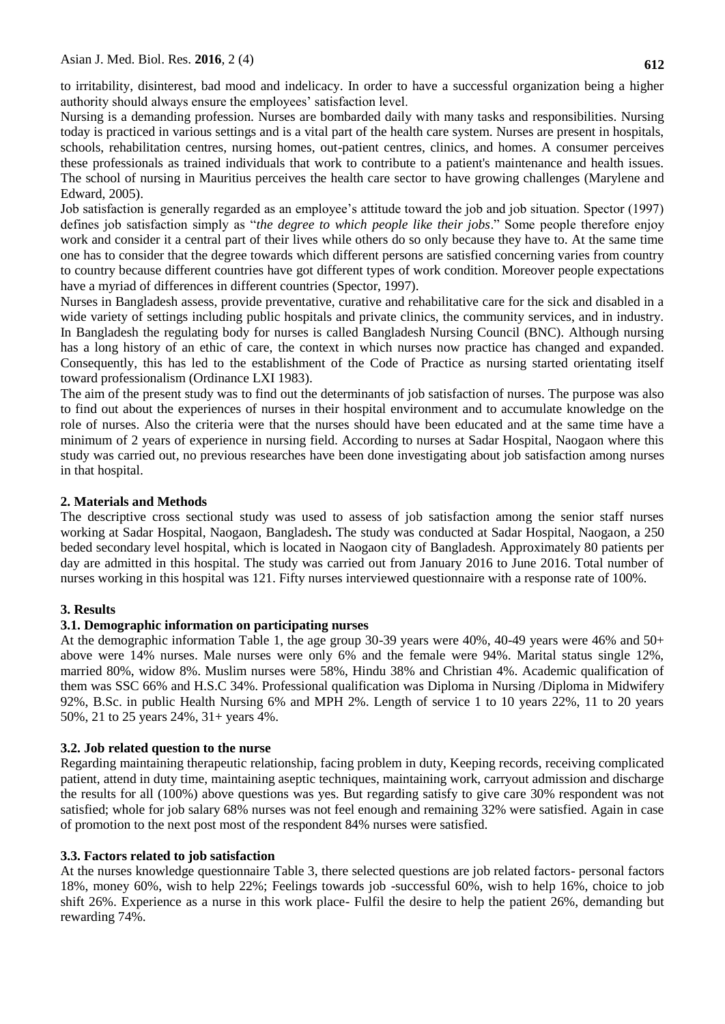to irritability, disinterest, bad mood and indelicacy. In order to have a successful organization being a higher authority should always ensure the employees" satisfaction level.

Nursing is a demanding profession. Nurses are bombarded daily with many tasks and responsibilities. Nursing today is practiced in various settings and is a vital part of the health care system. Nurses are present in hospitals, schools, rehabilitation centres, nursing homes, out-patient centres, clinics, and homes. A consumer perceives these professionals as trained individuals that work to contribute to a patient's maintenance and health issues. The school of nursing in Mauritius perceives the health care sector to have growing challenges (Marylene and Edward, 2005).

Job satisfaction is generally regarded as an employee's attitude toward the job and job situation. Spector (1997) defines job satisfaction simply as "*the degree to which people like their jobs*." Some people therefore enjoy work and consider it a central part of their lives while others do so only because they have to. At the same time one has to consider that the degree towards which different persons are satisfied concerning varies from country to country because different countries have got different types of work condition. Moreover people expectations have a myriad of differences in different countries (Spector, 1997).

Nurses in Bangladesh assess, provide preventative, curative and rehabilitative care for the sick and disabled in a wide variety of settings including public hospitals and private clinics, the community services, and in industry. In Bangladesh the regulating body for nurses is called Bangladesh Nursing Council (BNC). Although nursing has a long history of an ethic of care, the context in which nurses now practice has changed and expanded. Consequently, this has led to the establishment of the Code of Practice as nursing started orientating itself toward professionalism (Ordinance LXI 1983).

The aim of the present study was to find out the determinants of job satisfaction of nurses. The purpose was also to find out about the experiences of nurses in their hospital environment and to accumulate knowledge on the role of nurses. Also the criteria were that the nurses should have been educated and at the same time have a minimum of 2 years of experience in nursing field. According to nurses at Sadar Hospital, Naogaon where this study was carried out, no previous researches have been done investigating about job satisfaction among nurses in that hospital.

## **2. Materials and Methods**

The descriptive cross sectional study was used to assess of job satisfaction among the senior staff nurses working at Sadar Hospital, Naogaon, Bangladesh**.** The study was conducted at Sadar Hospital, Naogaon, a 250 beded secondary level hospital, which is located in Naogaon city of Bangladesh. Approximately 80 patients per day are admitted in this hospital. The study was carried out from January 2016 to June 2016. Total number of nurses working in this hospital was 121. Fifty nurses interviewed questionnaire with a response rate of 100%.

## **3. Results**

## **3.1. Demographic information on participating nurses**

At the demographic information Table 1, the age group 30-39 years were 40%, 40-49 years were 46% and 50+ above were 14% nurses. Male nurses were only 6% and the female were 94%. Marital status single 12%, married 80%, widow 8%. Muslim nurses were 58%, Hindu 38% and Christian 4%. Academic qualification of them was SSC 66% and H.S.C 34%. Professional qualification was Diploma in Nursing /Diploma in Midwifery 92%, B.Sc. in public Health Nursing 6% and MPH 2%. Length of service 1 to 10 years 22%, 11 to 20 years 50%, 21 to 25 years 24%, 31+ years 4%.

## **3.2. Job related question to the nurse**

Regarding maintaining therapeutic relationship, facing problem in duty, Keeping records, receiving complicated patient, attend in duty time, maintaining aseptic techniques, maintaining work, carryout admission and discharge the results for all (100%) above questions was yes. But regarding satisfy to give care 30% respondent was not satisfied; whole for job salary 68% nurses was not feel enough and remaining 32% were satisfied. Again in case of promotion to the next post most of the respondent 84% nurses were satisfied.

### **3.3. Factors related to job satisfaction**

At the nurses knowledge questionnaire Table 3, there selected questions are job related factors- personal factors 18%, money 60%, wish to help 22%; Feelings towards job -successful 60%, wish to help 16%, choice to job shift 26%. Experience as a nurse in this work place- Fulfil the desire to help the patient 26%, demanding but rewarding 74%.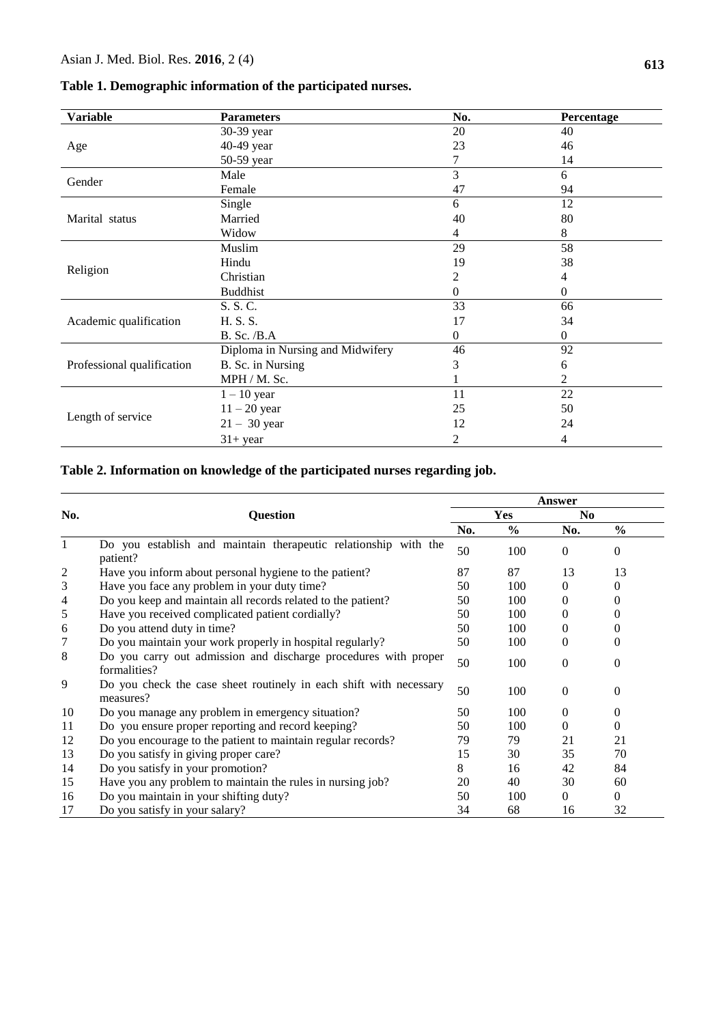| <b>Variable</b>            | <b>Parameters</b>                | No.      | Percentage     |
|----------------------------|----------------------------------|----------|----------------|
|                            | 30-39 year                       | 20       | 40             |
| Age                        | 40-49 year                       | 23       | 46             |
|                            | 50-59 year                       | 7        | 14             |
| Gender                     | Male                             | 3        | 6              |
|                            | Female                           | 47       | 94             |
|                            | Single                           | 6        | 12             |
| Marital status             | Married                          | 40       | 80             |
|                            | Widow                            | 4        | 8              |
|                            | Muslim                           | 29       | 58             |
|                            | Hindu                            | 19       | 38             |
| Religion                   | Christian                        | 2        | 4              |
|                            | <b>Buddhist</b>                  | 0        | 0              |
|                            | S. S. C.                         | 33       | 66             |
| Academic qualification     | H. S. S.                         | 17       | 34             |
|                            | <b>B. Sc. /B.A</b>               | $\Omega$ | $\overline{0}$ |
|                            | Diploma in Nursing and Midwifery | 46       | 92             |
| Professional qualification | B. Sc. in Nursing                | 3        | 6              |
|                            | MPH / M. Sc.                     |          | 2              |
|                            | $1 - 10$ year                    | 11       | $22\,$         |
|                            | $11 - 20$ year                   | 25       | 50             |
| Length of service          | $21 - 30$ year                   | 12       | 24             |
|                            | $31+$ year                       | 2        | 4              |

# **Table 2. Information on knowledge of the participated nurses regarding job.**

|                |                                                                                 |     | Answer        |                |               |  |
|----------------|---------------------------------------------------------------------------------|-----|---------------|----------------|---------------|--|
| No.            | <b>Question</b>                                                                 |     | Yes           | N <sub>0</sub> |               |  |
|                |                                                                                 | No. | $\frac{6}{6}$ | No.            | $\frac{0}{0}$ |  |
| 1              | Do you establish and maintain therapeutic relationship with the<br>patient?     | 50  | 100           | $\Omega$       | 0             |  |
| $\overline{c}$ | Have you inform about personal hygiene to the patient?                          | 87  | 87            | 13             | 13            |  |
| 3              | Have you face any problem in your duty time?                                    | 50  | 100           | 0              | $\Omega$      |  |
| $\overline{4}$ | Do you keep and maintain all records related to the patient?                    | 50  | 100           | 0              | 0             |  |
| 5              | Have you received complicated patient cordially?                                | 50  | 100           | 0              | 0             |  |
| 6              | Do you attend duty in time?                                                     | 50  | 100           | 0              | 0             |  |
| 7              | Do you maintain your work properly in hospital regularly?                       | 50  | 100           | $\Omega$       | $\theta$      |  |
| 8              | Do you carry out admission and discharge procedures with proper<br>formalities? | 50  | 100           | $\theta$       | $\Omega$      |  |
| 9              | Do you check the case sheet routinely in each shift with necessary<br>measures? | 50  | 100           | $\theta$       | 0             |  |
| 10             | Do you manage any problem in emergency situation?                               | 50  | 100           | $\Omega$       | 0             |  |
| 11             | Do you ensure proper reporting and record keeping?                              | 50  | 100           | $\theta$       | 0             |  |
| 12             | Do you encourage to the patient to maintain regular records?                    | 79  | 79            | 21             | 21            |  |
| 13             | Do you satisfy in giving proper care?                                           | 15  | 30            | 35             | 70            |  |
| 14             | Do you satisfy in your promotion?                                               | 8   | 16            | 42             | 84            |  |
| 15             | Have you any problem to maintain the rules in nursing job?                      | 20  | 40            | 30             | 60            |  |
| 16             | Do you maintain in your shifting duty?                                          | 50  | 100           | 0              | $\theta$      |  |
| 17             | Do you satisfy in your salary?                                                  | 34  | 68            | 16             | 32            |  |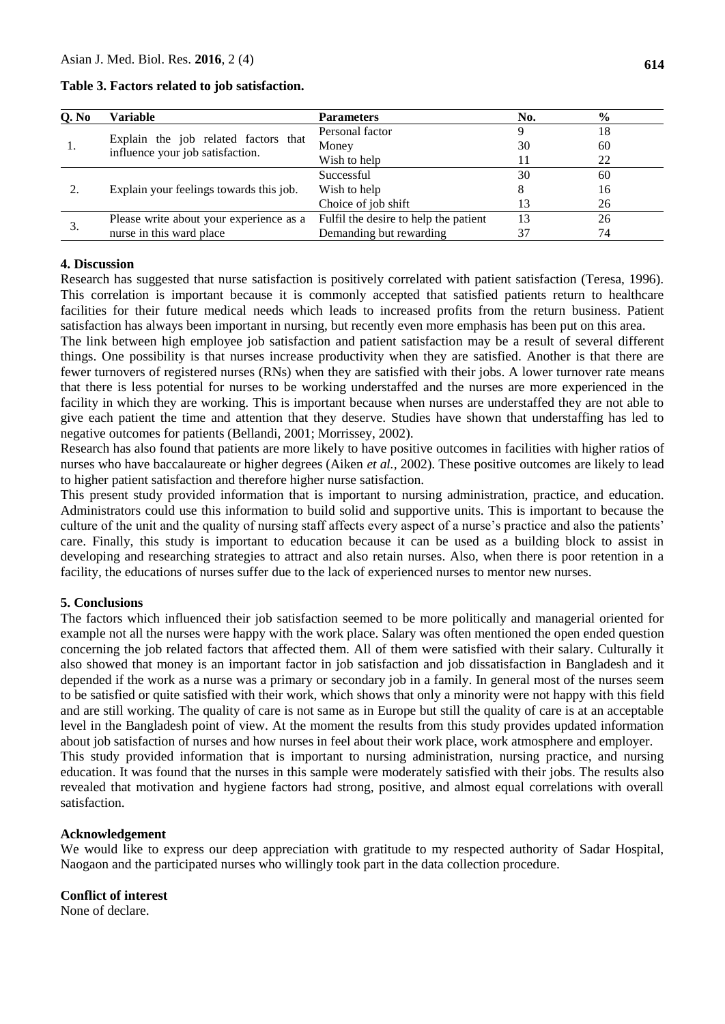| Q. No | Variable                                                                 | <b>Parameters</b>                     | No. | $\frac{6}{6}$ |
|-------|--------------------------------------------------------------------------|---------------------------------------|-----|---------------|
|       | Explain the job related factors that<br>influence your job satisfaction. | Personal factor                       |     | 18            |
|       |                                                                          | Money                                 | 30  | 60            |
|       |                                                                          | Wish to help                          |     | 22            |
|       | Explain your feelings towards this job.                                  | Successful                            | 30  | 60            |
|       |                                                                          | Wish to help                          |     | 16            |
|       |                                                                          | Choice of job shift                   | 13  | 26            |
| Ć.    | Please write about your experience as a                                  | Fulfil the desire to help the patient | 13  | 26            |
|       | nurse in this ward place                                                 | Demanding but rewarding               |     | 74            |

**Table 3. Factors related to job satisfaction.**

### **4. Discussion**

Research has suggested that nurse satisfaction is positively correlated with patient satisfaction (Teresa, 1996). This correlation is important because it is commonly accepted that satisfied patients return to healthcare facilities for their future medical needs which leads to increased profits from the return business. Patient satisfaction has always been important in nursing, but recently even more emphasis has been put on this area.

The link between high employee job satisfaction and patient satisfaction may be a result of several different things. One possibility is that nurses increase productivity when they are satisfied. Another is that there are fewer turnovers of registered nurses (RNs) when they are satisfied with their jobs. A lower turnover rate means that there is less potential for nurses to be working understaffed and the nurses are more experienced in the facility in which they are working. This is important because when nurses are understaffed they are not able to give each patient the time and attention that they deserve. Studies have shown that understaffing has led to negative outcomes for patients (Bellandi, 2001; Morrissey, 2002).

Research has also found that patients are more likely to have positive outcomes in facilities with higher ratios of nurses who have baccalaureate or higher degrees (Aiken *et al.,* 2002). These positive outcomes are likely to lead to higher patient satisfaction and therefore higher nurse satisfaction.

This present study provided information that is important to nursing administration, practice, and education. Administrators could use this information to build solid and supportive units. This is important to because the culture of the unit and the quality of nursing staff affects every aspect of a nurse's practice and also the patients' care. Finally, this study is important to education because it can be used as a building block to assist in developing and researching strategies to attract and also retain nurses. Also, when there is poor retention in a facility, the educations of nurses suffer due to the lack of experienced nurses to mentor new nurses.

### **5. Conclusions**

The factors which influenced their job satisfaction seemed to be more politically and managerial oriented for example not all the nurses were happy with the work place. Salary was often mentioned the open ended question concerning the job related factors that affected them. All of them were satisfied with their salary. Culturally it also showed that money is an important factor in job satisfaction and job dissatisfaction in Bangladesh and it depended if the work as a nurse was a primary or secondary job in a family. In general most of the nurses seem to be satisfied or quite satisfied with their work, which shows that only a minority were not happy with this field and are still working. The quality of care is not same as in Europe but still the quality of care is at an acceptable level in the Bangladesh point of view. At the moment the results from this study provides updated information about job satisfaction of nurses and how nurses in feel about their work place, work atmosphere and employer. This study provided information that is important to nursing administration, nursing practice, and nursing education. It was found that the nurses in this sample were moderately satisfied with their jobs. The results also revealed that motivation and hygiene factors had strong, positive, and almost equal correlations with overall satisfaction.

#### **Acknowledgement**

We would like to express our deep appreciation with gratitude to my respected authority of Sadar Hospital, Naogaon and the participated nurses who willingly took part in the data collection procedure.

### **Conflict of interest**

None of declare.